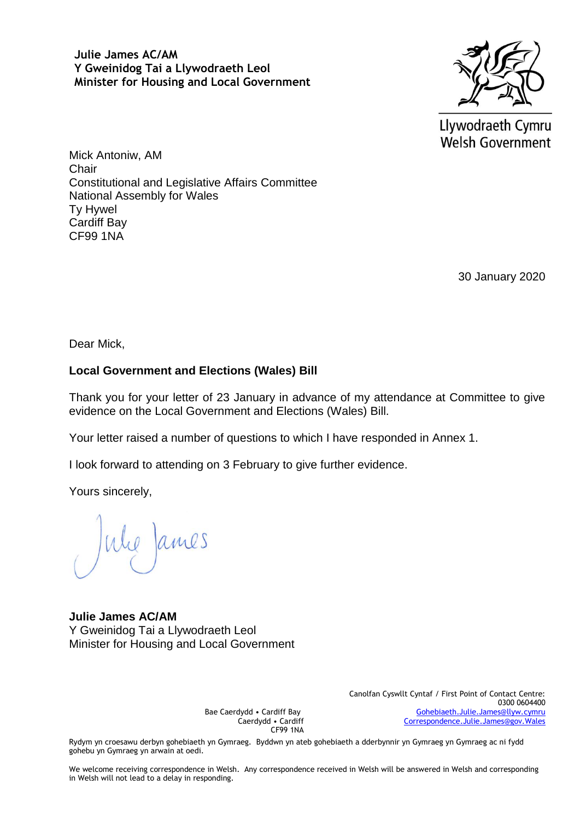**Julie James AC/AM Y Gweinidog Tai a Llywodraeth Leol Minister for Housing and Local Government**



Llywodraeth Cymru Welsh Government

Mick Antoniw, AM **Chair** Constitutional and Legislative Affairs Committee National Assembly for Wales Ty Hywel Cardiff Bay CF99 1NA

30 January 2020

Dear Mick,

## **Local Government and Elections (Wales) Bill**

Thank you for your letter of 23 January in advance of my attendance at Committee to give evidence on the Local Government and Elections (Wales) Bill.

Your letter raised a number of questions to which I have responded in Annex 1.

I look forward to attending on 3 February to give further evidence.

Yours sincerely,

We James

#### **Julie James AC/AM** Y Gweinidog Tai a Llywodraeth Leol Minister for Housing and Local Government

Bae Caerdydd • Cardiff Bay Caerdydd • Cardiff CF99 1NA Canolfan Cyswllt Cyntaf / First Point of Contact Centre: 0300 0604400 [Gohebiaeth.Julie.James@llyw.cymru](mailto:Gohebiaeth.Julie.James@llyw.cymru) [Correspondence.Julie.James@gov.Wales](mailto:Correspondence.Julie.James@gov.Wales)

Rydym yn croesawu derbyn gohebiaeth yn Gymraeg. Byddwn yn ateb gohebiaeth a dderbynnir yn Gymraeg yn Gymraeg ac ni fydd gohebu yn Gymraeg yn arwain at oedi.

We welcome receiving correspondence in Welsh. Any correspondence received in Welsh will be answered in Welsh and corresponding in Welsh will not lead to a delay in responding.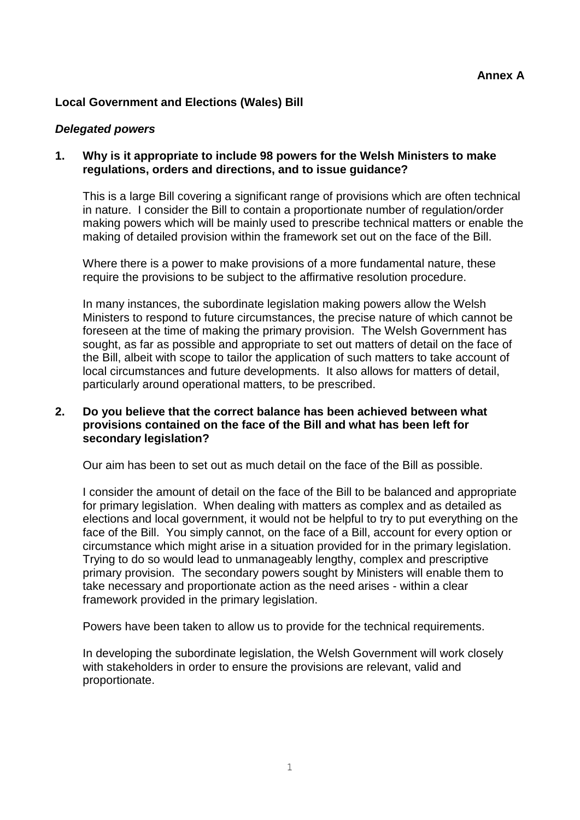# **Local Government and Elections (Wales) Bill**

### *Delegated powers*

## **1. Why is it appropriate to include 98 powers for the Welsh Ministers to make regulations, orders and directions, and to issue guidance?**

This is a large Bill covering a significant range of provisions which are often technical in nature. I consider the Bill to contain a proportionate number of regulation/order making powers which will be mainly used to prescribe technical matters or enable the making of detailed provision within the framework set out on the face of the Bill.

Where there is a power to make provisions of a more fundamental nature, these require the provisions to be subject to the affirmative resolution procedure.

In many instances, the subordinate legislation making powers allow the Welsh Ministers to respond to future circumstances, the precise nature of which cannot be foreseen at the time of making the primary provision. The Welsh Government has sought, as far as possible and appropriate to set out matters of detail on the face of the Bill, albeit with scope to tailor the application of such matters to take account of local circumstances and future developments. It also allows for matters of detail, particularly around operational matters, to be prescribed.

## **2. Do you believe that the correct balance has been achieved between what provisions contained on the face of the Bill and what has been left for secondary legislation?**

Our aim has been to set out as much detail on the face of the Bill as possible.

I consider the amount of detail on the face of the Bill to be balanced and appropriate for primary legislation. When dealing with matters as complex and as detailed as elections and local government, it would not be helpful to try to put everything on the face of the Bill. You simply cannot, on the face of a Bill, account for every option or circumstance which might arise in a situation provided for in the primary legislation. Trying to do so would lead to unmanageably lengthy, complex and prescriptive primary provision. The secondary powers sought by Ministers will enable them to take necessary and proportionate action as the need arises - within a clear framework provided in the primary legislation.

Powers have been taken to allow us to provide for the technical requirements.

In developing the subordinate legislation, the Welsh Government will work closely with stakeholders in order to ensure the provisions are relevant, valid and proportionate.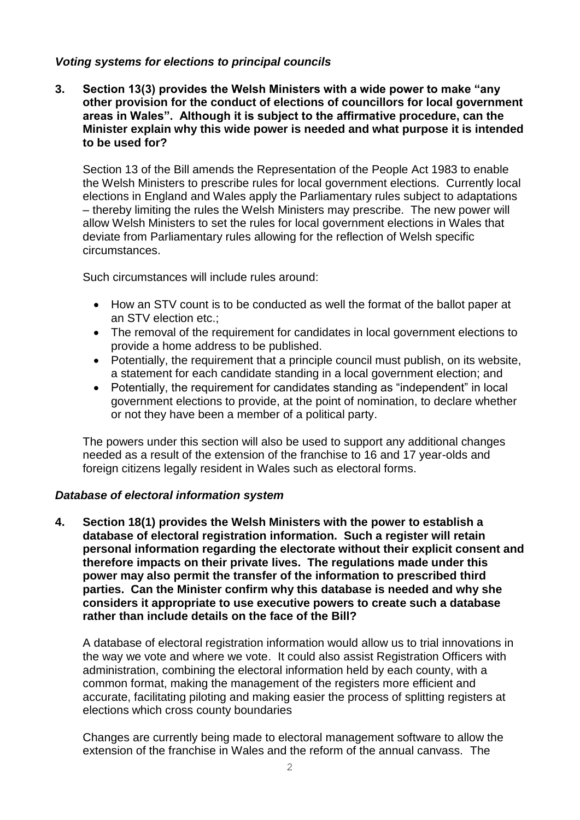## *Voting systems for elections to principal councils*

**3. Section 13(3) provides the Welsh Ministers with a wide power to make "any other provision for the conduct of elections of councillors for local government areas in Wales". Although it is subject to the affirmative procedure, can the Minister explain why this wide power is needed and what purpose it is intended to be used for?** 

Section 13 of the Bill amends the Representation of the People Act 1983 to enable the Welsh Ministers to prescribe rules for local government elections. Currently local elections in England and Wales apply the Parliamentary rules subject to adaptations – thereby limiting the rules the Welsh Ministers may prescribe. The new power will allow Welsh Ministers to set the rules for local government elections in Wales that deviate from Parliamentary rules allowing for the reflection of Welsh specific circumstances.

Such circumstances will include rules around:

- How an STV count is to be conducted as well the format of the ballot paper at an STV election etc.;
- The removal of the requirement for candidates in local government elections to provide a home address to be published.
- Potentially, the requirement that a principle council must publish, on its website, a statement for each candidate standing in a local government election; and
- Potentially, the requirement for candidates standing as "independent" in local government elections to provide, at the point of nomination, to declare whether or not they have been a member of a political party.

The powers under this section will also be used to support any additional changes needed as a result of the extension of the franchise to 16 and 17 year-olds and foreign citizens legally resident in Wales such as electoral forms.

## *Database of electoral information system*

**4. Section 18(1) provides the Welsh Ministers with the power to establish a database of electoral registration information. Such a register will retain personal information regarding the electorate without their explicit consent and therefore impacts on their private lives. The regulations made under this power may also permit the transfer of the information to prescribed third parties. Can the Minister confirm why this database is needed and why she considers it appropriate to use executive powers to create such a database rather than include details on the face of the Bill?** 

A database of electoral registration information would allow us to trial innovations in the way we vote and where we vote. It could also assist Registration Officers with administration, combining the electoral information held by each county, with a common format, making the management of the registers more efficient and accurate, facilitating piloting and making easier the process of splitting registers at elections which cross county boundaries

Changes are currently being made to electoral management software to allow the extension of the franchise in Wales and the reform of the annual canvass. The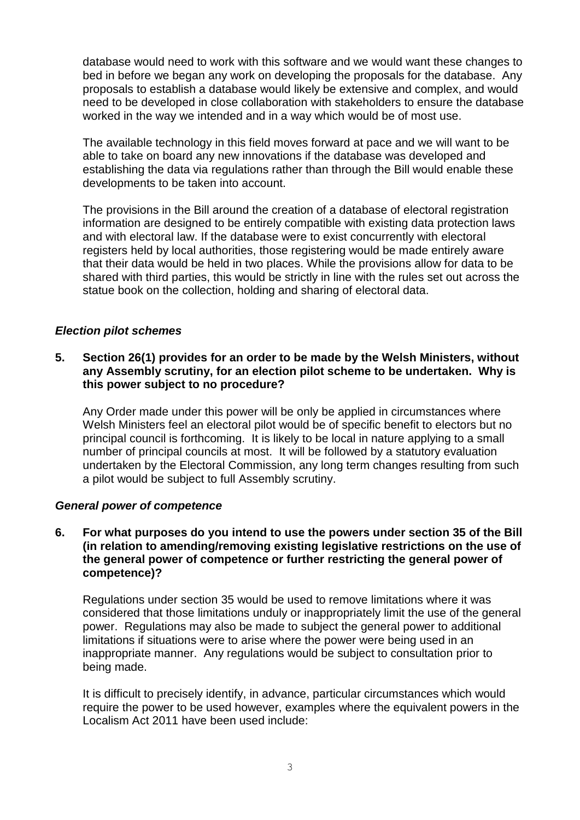database would need to work with this software and we would want these changes to bed in before we began any work on developing the proposals for the database. Any proposals to establish a database would likely be extensive and complex, and would need to be developed in close collaboration with stakeholders to ensure the database worked in the way we intended and in a way which would be of most use.

The available technology in this field moves forward at pace and we will want to be able to take on board any new innovations if the database was developed and establishing the data via regulations rather than through the Bill would enable these developments to be taken into account.

The provisions in the Bill around the creation of a database of electoral registration information are designed to be entirely compatible with existing data protection laws and with electoral law. If the database were to exist concurrently with electoral registers held by local authorities, those registering would be made entirely aware that their data would be held in two places. While the provisions allow for data to be shared with third parties, this would be strictly in line with the rules set out across the statue book on the collection, holding and sharing of electoral data.

## *Election pilot schemes*

## **5. Section 26(1) provides for an order to be made by the Welsh Ministers, without any Assembly scrutiny, for an election pilot scheme to be undertaken. Why is this power subject to no procedure?**

Any Order made under this power will be only be applied in circumstances where Welsh Ministers feel an electoral pilot would be of specific benefit to electors but no principal council is forthcoming. It is likely to be local in nature applying to a small number of principal councils at most. It will be followed by a statutory evaluation undertaken by the Electoral Commission, any long term changes resulting from such a pilot would be subject to full Assembly scrutiny.

## *General power of competence*

### **6. For what purposes do you intend to use the powers under section 35 of the Bill (in relation to amending/removing existing legislative restrictions on the use of the general power of competence or further restricting the general power of competence)?**

Regulations under section 35 would be used to remove limitations where it was considered that those limitations unduly or inappropriately limit the use of the general power. Regulations may also be made to subject the general power to additional limitations if situations were to arise where the power were being used in an inappropriate manner. Any regulations would be subject to consultation prior to being made.

It is difficult to precisely identify, in advance, particular circumstances which would require the power to be used however, examples where the equivalent powers in the Localism Act 2011 have been used include: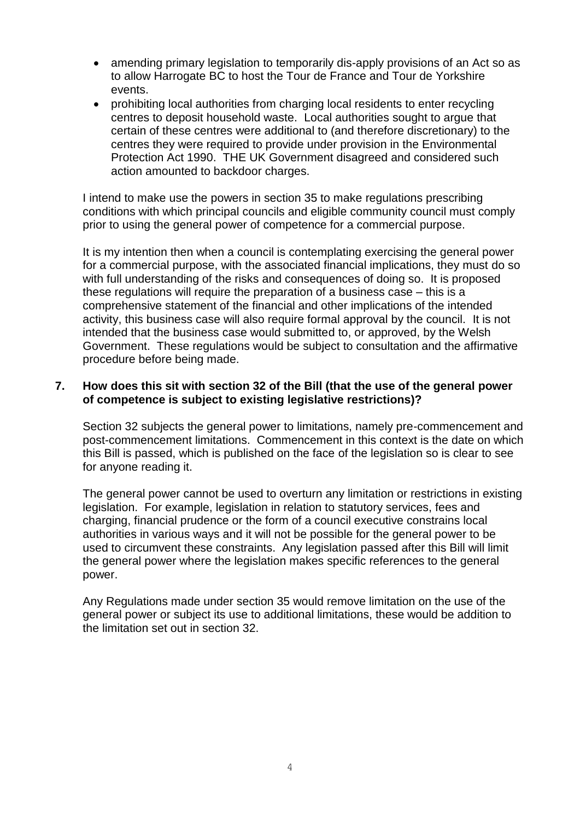- amending primary legislation to temporarily dis-apply provisions of an Act so as to allow Harrogate BC to host the Tour de France and Tour de Yorkshire events.
- prohibiting local authorities from charging local residents to enter recycling centres to deposit household waste. Local authorities sought to argue that certain of these centres were additional to (and therefore discretionary) to the centres they were required to provide under provision in the Environmental Protection Act 1990. THE UK Government disagreed and considered such action amounted to backdoor charges.

I intend to make use the powers in section 35 to make regulations prescribing conditions with which principal councils and eligible community council must comply prior to using the general power of competence for a commercial purpose.

It is my intention then when a council is contemplating exercising the general power for a commercial purpose, with the associated financial implications, they must do so with full understanding of the risks and consequences of doing so. It is proposed these regulations will require the preparation of a business case – this is a comprehensive statement of the financial and other implications of the intended activity, this business case will also require formal approval by the council. It is not intended that the business case would submitted to, or approved, by the Welsh Government. These regulations would be subject to consultation and the affirmative procedure before being made.

## **7. How does this sit with section 32 of the Bill (that the use of the general power of competence is subject to existing legislative restrictions)?**

Section 32 subjects the general power to limitations, namely pre-commencement and post-commencement limitations. Commencement in this context is the date on which this Bill is passed, which is published on the face of the legislation so is clear to see for anyone reading it.

The general power cannot be used to overturn any limitation or restrictions in existing legislation. For example, legislation in relation to statutory services, fees and charging, financial prudence or the form of a council executive constrains local authorities in various ways and it will not be possible for the general power to be used to circumvent these constraints. Any legislation passed after this Bill will limit the general power where the legislation makes specific references to the general power.

Any Regulations made under section 35 would remove limitation on the use of the general power or subject its use to additional limitations, these would be addition to the limitation set out in section 32.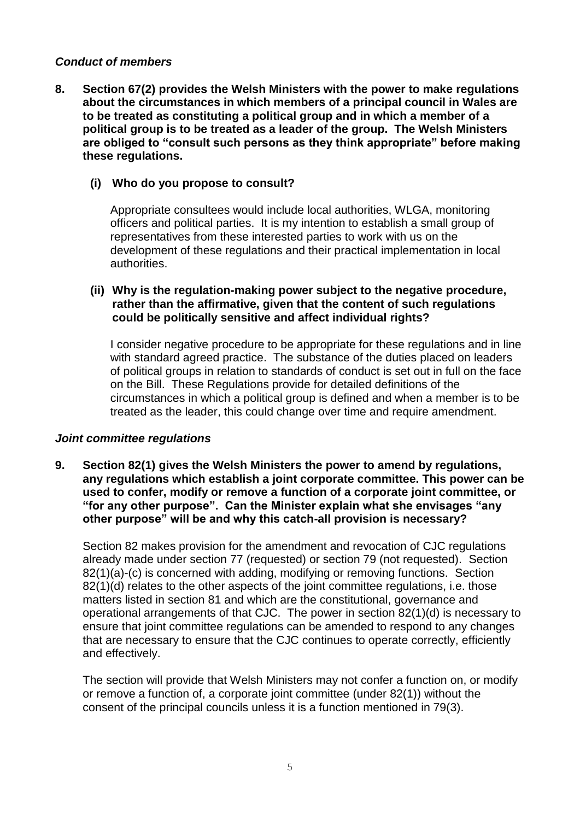## *Conduct of members*

**8. Section 67(2) provides the Welsh Ministers with the power to make regulations about the circumstances in which members of a principal council in Wales are to be treated as constituting a political group and in which a member of a political group is to be treated as a leader of the group. The Welsh Ministers are obliged to "consult such persons as they think appropriate" before making these regulations.** 

## **(i) Who do you propose to consult?**

Appropriate consultees would include local authorities, WLGA, monitoring officers and political parties. It is my intention to establish a small group of representatives from these interested parties to work with us on the development of these regulations and their practical implementation in local authorities.

## **(ii) Why is the regulation-making power subject to the negative procedure, rather than the affirmative, given that the content of such regulations could be politically sensitive and affect individual rights?**

I consider negative procedure to be appropriate for these regulations and in line with standard agreed practice. The substance of the duties placed on leaders of political groups in relation to standards of conduct is set out in full on the face on the Bill. These Regulations provide for detailed definitions of the circumstances in which a political group is defined and when a member is to be treated as the leader, this could change over time and require amendment.

## *Joint committee regulations*

**9. Section 82(1) gives the Welsh Ministers the power to amend by regulations, any regulations which establish a joint corporate committee. This power can be used to confer, modify or remove a function of a corporate joint committee, or "for any other purpose". Can the Minister explain what she envisages "any other purpose" will be and why this catch-all provision is necessary?** 

Section 82 makes provision for the amendment and revocation of CJC regulations already made under section 77 (requested) or section 79 (not requested). Section 82(1)(a)-(c) is concerned with adding, modifying or removing functions.Section 82(1)(d) relates to the other aspects of the joint committee regulations, i.e. those matters listed in section 81 and which are the constitutional, governance and operational arrangements of that CJC. The power in section 82(1)(d) is necessary to ensure that joint committee regulations can be amended to respond to any changes that are necessary to ensure that the CJC continues to operate correctly, efficiently and effectively.

The section will provide that Welsh Ministers may not confer a function on, or modify or remove a function of, a corporate joint committee (under 82(1)) without the consent of the principal councils unless it is a function mentioned in 79(3).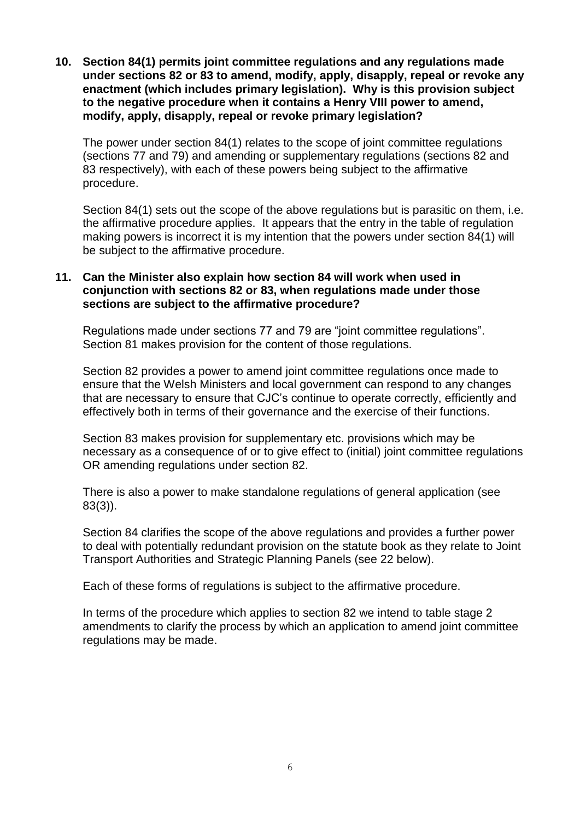**10. Section 84(1) permits joint committee regulations and any regulations made under sections 82 or 83 to amend, modify, apply, disapply, repeal or revoke any enactment (which includes primary legislation). Why is this provision subject to the negative procedure when it contains a Henry VIII power to amend, modify, apply, disapply, repeal or revoke primary legislation?** 

The power under section 84(1) relates to the scope of joint committee regulations (sections 77 and 79) and amending or supplementary regulations (sections 82 and 83 respectively), with each of these powers being subject to the affirmative procedure.

Section 84(1) sets out the scope of the above regulations but is parasitic on them, i.e. the affirmative procedure applies. It appears that the entry in the table of regulation making powers is incorrect it is my intention that the powers under section 84(1) will be subject to the affirmative procedure.

## **11. Can the Minister also explain how section 84 will work when used in conjunction with sections 82 or 83, when regulations made under those sections are subject to the affirmative procedure?**

Regulations made under sections 77 and 79 are "joint committee regulations". Section 81 makes provision for the content of those regulations.

Section 82 provides a power to amend joint committee regulations once made to ensure that the Welsh Ministers and local government can respond to any changes that are necessary to ensure that CJC's continue to operate correctly, efficiently and effectively both in terms of their governance and the exercise of their functions.

Section 83 makes provision for supplementary etc. provisions which may be necessary as a consequence of or to give effect to (initial) joint committee regulations OR amending regulations under section 82.

There is also a power to make standalone regulations of general application (see 83(3)).

Section 84 clarifies the scope of the above regulations and provides a further power to deal with potentially redundant provision on the statute book as they relate to Joint Transport Authorities and Strategic Planning Panels (see 22 below).

Each of these forms of regulations is subject to the affirmative procedure.

In terms of the procedure which applies to section 82 we intend to table stage 2 amendments to clarify the process by which an application to amend joint committee regulations may be made.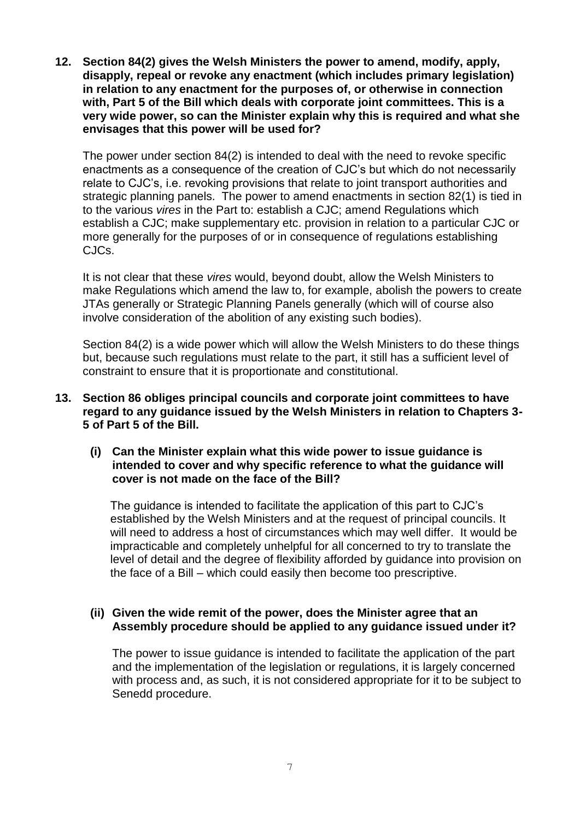**12. Section 84(2) gives the Welsh Ministers the power to amend, modify, apply, disapply, repeal or revoke any enactment (which includes primary legislation) in relation to any enactment for the purposes of, or otherwise in connection with, Part 5 of the Bill which deals with corporate joint committees. This is a very wide power, so can the Minister explain why this is required and what she envisages that this power will be used for?** 

The power under section 84(2) is intended to deal with the need to revoke specific enactments as a consequence of the creation of CJC's but which do not necessarily relate to CJC's, i.e. revoking provisions that relate to joint transport authorities and strategic planning panels. The power to amend enactments in section 82(1) is tied in to the various *vires* in the Part to: establish a CJC; amend Regulations which establish a CJC; make supplementary etc. provision in relation to a particular CJC or more generally for the purposes of or in consequence of regulations establishing CJCs.

It is not clear that these *vires* would, beyond doubt, allow the Welsh Ministers to make Regulations which amend the law to, for example, abolish the powers to create JTAs generally or Strategic Planning Panels generally (which will of course also involve consideration of the abolition of any existing such bodies).

Section 84(2) is a wide power which will allow the Welsh Ministers to do these things but, because such regulations must relate to the part, it still has a sufficient level of constraint to ensure that it is proportionate and constitutional.

- **13. Section 86 obliges principal councils and corporate joint committees to have regard to any guidance issued by the Welsh Ministers in relation to Chapters 3- 5 of Part 5 of the Bill.** 
	- **(i) Can the Minister explain what this wide power to issue guidance is intended to cover and why specific reference to what the guidance will cover is not made on the face of the Bill?**

The guidance is intended to facilitate the application of this part to CJC's established by the Welsh Ministers and at the request of principal councils. It will need to address a host of circumstances which may well differ. It would be impracticable and completely unhelpful for all concerned to try to translate the level of detail and the degree of flexibility afforded by guidance into provision on the face of a Bill – which could easily then become too prescriptive.

## **(ii) Given the wide remit of the power, does the Minister agree that an Assembly procedure should be applied to any guidance issued under it?**

The power to issue guidance is intended to facilitate the application of the part and the implementation of the legislation or regulations, it is largely concerned with process and, as such, it is not considered appropriate for it to be subject to Senedd procedure.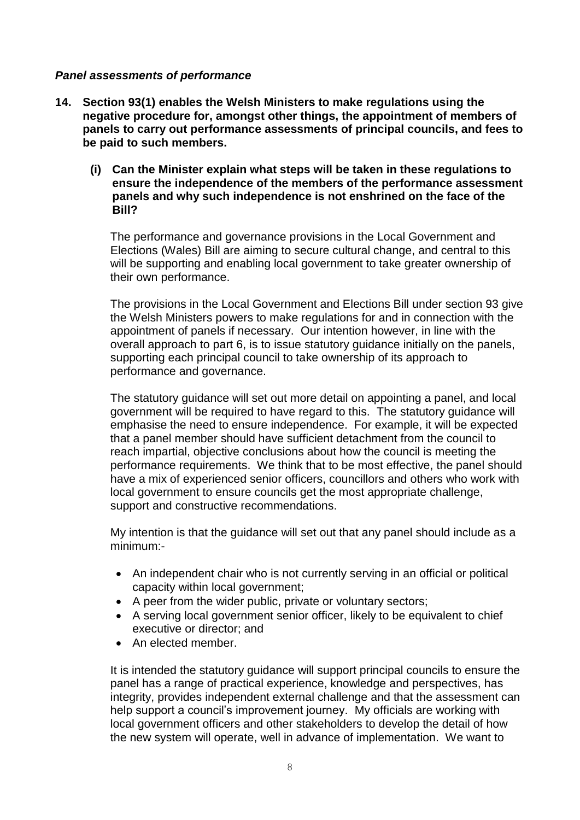## *Panel assessments of performance*

- **14. Section 93(1) enables the Welsh Ministers to make regulations using the negative procedure for, amongst other things, the appointment of members of panels to carry out performance assessments of principal councils, and fees to be paid to such members.** 
	- **(i) Can the Minister explain what steps will be taken in these regulations to ensure the independence of the members of the performance assessment panels and why such independence is not enshrined on the face of the Bill?**

The performance and governance provisions in the Local Government and Elections (Wales) Bill are aiming to secure cultural change, and central to this will be supporting and enabling local government to take greater ownership of their own performance.

The provisions in the Local Government and Elections Bill under section 93 give the Welsh Ministers powers to make regulations for and in connection with the appointment of panels if necessary. Our intention however, in line with the overall approach to part 6, is to issue statutory guidance initially on the panels, supporting each principal council to take ownership of its approach to performance and governance.

The statutory guidance will set out more detail on appointing a panel, and local government will be required to have regard to this. The statutory guidance will emphasise the need to ensure independence. For example, it will be expected that a panel member should have sufficient detachment from the council to reach impartial, objective conclusions about how the council is meeting the performance requirements. We think that to be most effective, the panel should have a mix of experienced senior officers, councillors and others who work with local government to ensure councils get the most appropriate challenge, support and constructive recommendations.

My intention is that the guidance will set out that any panel should include as a minimum:-

- An independent chair who is not currently serving in an official or political capacity within local government;
- A peer from the wider public, private or voluntary sectors;
- A serving local government senior officer, likely to be equivalent to chief executive or director; and
- An elected member.

It is intended the statutory guidance will support principal councils to ensure the panel has a range of practical experience, knowledge and perspectives, has integrity, provides independent external challenge and that the assessment can help support a council's improvement journey. My officials are working with local government officers and other stakeholders to develop the detail of how the new system will operate, well in advance of implementation. We want to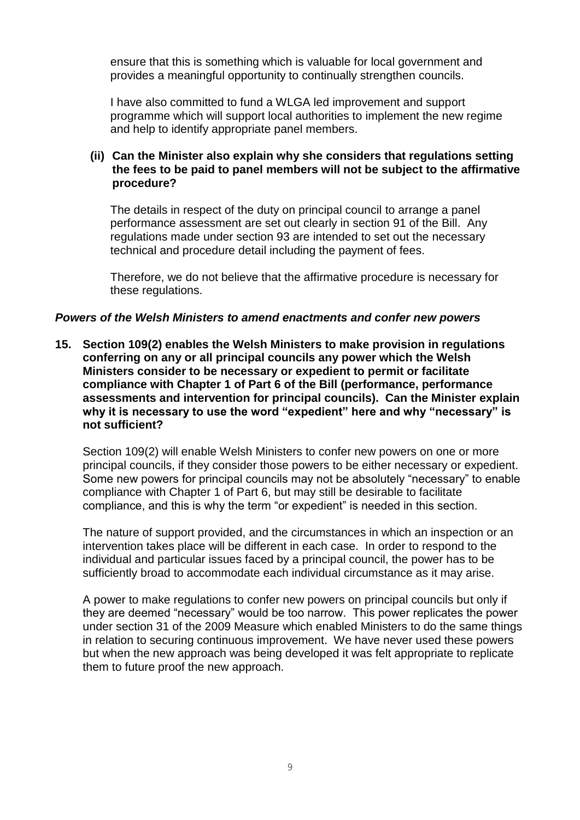ensure that this is something which is valuable for local government and provides a meaningful opportunity to continually strengthen councils.

I have also committed to fund a WLGA led improvement and support programme which will support local authorities to implement the new regime and help to identify appropriate panel members.

## **(ii) Can the Minister also explain why she considers that regulations setting the fees to be paid to panel members will not be subject to the affirmative procedure?**

The details in respect of the duty on principal council to arrange a panel performance assessment are set out clearly in section 91 of the Bill. Any regulations made under section 93 are intended to set out the necessary technical and procedure detail including the payment of fees.

Therefore, we do not believe that the affirmative procedure is necessary for these regulations.

#### *Powers of the Welsh Ministers to amend enactments and confer new powers*

**15. Section 109(2) enables the Welsh Ministers to make provision in regulations conferring on any or all principal councils any power which the Welsh Ministers consider to be necessary or expedient to permit or facilitate compliance with Chapter 1 of Part 6 of the Bill (performance, performance assessments and intervention for principal councils). Can the Minister explain why it is necessary to use the word "expedient" here and why "necessary" is not sufficient?** 

Section 109(2) will enable Welsh Ministers to confer new powers on one or more principal councils, if they consider those powers to be either necessary or expedient. Some new powers for principal councils may not be absolutely "necessary" to enable compliance with Chapter 1 of Part 6, but may still be desirable to facilitate compliance, and this is why the term "or expedient" is needed in this section.

The nature of support provided, and the circumstances in which an inspection or an intervention takes place will be different in each case. In order to respond to the individual and particular issues faced by a principal council, the power has to be sufficiently broad to accommodate each individual circumstance as it may arise.

A power to make regulations to confer new powers on principal councils but only if they are deemed "necessary" would be too narrow. This power replicates the power under section 31 of the 2009 Measure which enabled Ministers to do the same things in relation to securing continuous improvement. We have never used these powers but when the new approach was being developed it was felt appropriate to replicate them to future proof the new approach.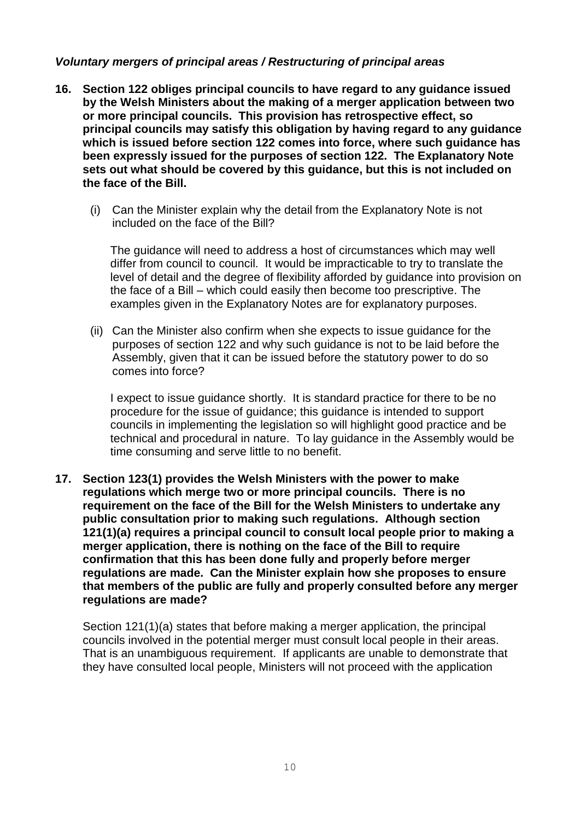# *Voluntary mergers of principal areas / Restructuring of principal areas*

- **16. Section 122 obliges principal councils to have regard to any guidance issued by the Welsh Ministers about the making of a merger application between two or more principal councils. This provision has retrospective effect, so principal councils may satisfy this obligation by having regard to any guidance which is issued before section 122 comes into force, where such guidance has been expressly issued for the purposes of section 122. The Explanatory Note sets out what should be covered by this guidance, but this is not included on the face of the Bill.** 
	- (i) Can the Minister explain why the detail from the Explanatory Note is not included on the face of the Bill?

The guidance will need to address a host of circumstances which may well differ from council to council. It would be impracticable to try to translate the level of detail and the degree of flexibility afforded by guidance into provision on the face of a Bill – which could easily then become too prescriptive. The examples given in the Explanatory Notes are for explanatory purposes.

(ii) Can the Minister also confirm when she expects to issue guidance for the purposes of section 122 and why such guidance is not to be laid before the Assembly, given that it can be issued before the statutory power to do so comes into force?

I expect to issue guidance shortly. It is standard practice for there to be no procedure for the issue of guidance; this guidance is intended to support councils in implementing the legislation so will highlight good practice and be technical and procedural in nature. To lay guidance in the Assembly would be time consuming and serve little to no benefit.

**17. Section 123(1) provides the Welsh Ministers with the power to make regulations which merge two or more principal councils. There is no requirement on the face of the Bill for the Welsh Ministers to undertake any public consultation prior to making such regulations. Although section 121(1)(a) requires a principal council to consult local people prior to making a merger application, there is nothing on the face of the Bill to require confirmation that this has been done fully and properly before merger regulations are made. Can the Minister explain how she proposes to ensure that members of the public are fully and properly consulted before any merger regulations are made?** 

Section 121(1)(a) states that before making a merger application, the principal councils involved in the potential merger must consult local people in their areas. That is an unambiguous requirement. If applicants are unable to demonstrate that they have consulted local people, Ministers will not proceed with the application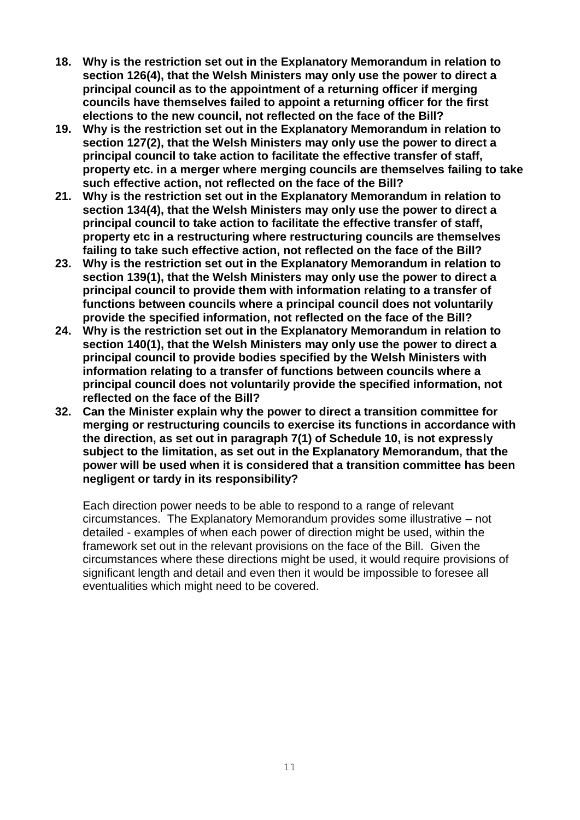- **18. Why is the restriction set out in the Explanatory Memorandum in relation to section 126(4), that the Welsh Ministers may only use the power to direct a principal council as to the appointment of a returning officer if merging councils have themselves failed to appoint a returning officer for the first elections to the new council, not reflected on the face of the Bill?**
- **19. Why is the restriction set out in the Explanatory Memorandum in relation to section 127(2), that the Welsh Ministers may only use the power to direct a principal council to take action to facilitate the effective transfer of staff, property etc. in a merger where merging councils are themselves failing to take such effective action, not reflected on the face of the Bill?**
- **21. Why is the restriction set out in the Explanatory Memorandum in relation to section 134(4), that the Welsh Ministers may only use the power to direct a principal council to take action to facilitate the effective transfer of staff, property etc in a restructuring where restructuring councils are themselves failing to take such effective action, not reflected on the face of the Bill?**
- **23. Why is the restriction set out in the Explanatory Memorandum in relation to section 139(1), that the Welsh Ministers may only use the power to direct a principal council to provide them with information relating to a transfer of functions between councils where a principal council does not voluntarily provide the specified information, not reflected on the face of the Bill?**
- **24. Why is the restriction set out in the Explanatory Memorandum in relation to section 140(1), that the Welsh Ministers may only use the power to direct a principal council to provide bodies specified by the Welsh Ministers with information relating to a transfer of functions between councils where a principal council does not voluntarily provide the specified information, not reflected on the face of the Bill?**
- **32. Can the Minister explain why the power to direct a transition committee for merging or restructuring councils to exercise its functions in accordance with the direction, as set out in paragraph 7(1) of Schedule 10, is not expressly subject to the limitation, as set out in the Explanatory Memorandum, that the power will be used when it is considered that a transition committee has been negligent or tardy in its responsibility?**

Each direction power needs to be able to respond to a range of relevant circumstances. The Explanatory Memorandum provides some illustrative – not detailed - examples of when each power of direction might be used, within the framework set out in the relevant provisions on the face of the Bill. Given the circumstances where these directions might be used, it would require provisions of significant length and detail and even then it would be impossible to foresee all eventualities which might need to be covered.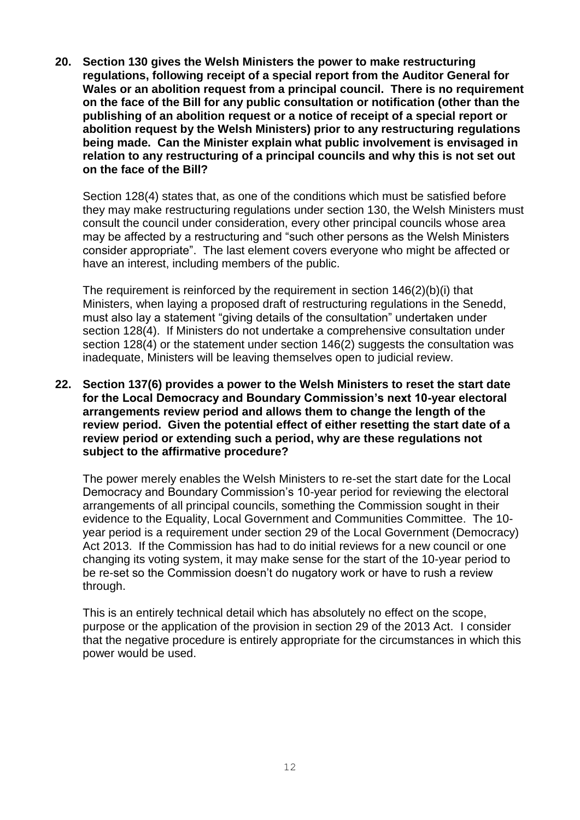**20. Section 130 gives the Welsh Ministers the power to make restructuring regulations, following receipt of a special report from the Auditor General for Wales or an abolition request from a principal council. There is no requirement on the face of the Bill for any public consultation or notification (other than the publishing of an abolition request or a notice of receipt of a special report or abolition request by the Welsh Ministers) prior to any restructuring regulations being made. Can the Minister explain what public involvement is envisaged in relation to any restructuring of a principal councils and why this is not set out on the face of the Bill?** 

Section 128(4) states that, as one of the conditions which must be satisfied before they may make restructuring regulations under section 130, the Welsh Ministers must consult the council under consideration, every other principal councils whose area may be affected by a restructuring and "such other persons as the Welsh Ministers consider appropriate". The last element covers everyone who might be affected or have an interest, including members of the public.

The requirement is reinforced by the requirement in section 146(2)(b)(i) that Ministers, when laying a proposed draft of restructuring regulations in the Senedd, must also lay a statement "giving details of the consultation" undertaken under section 128(4). If Ministers do not undertake a comprehensive consultation under section 128(4) or the statement under section 146(2) suggests the consultation was inadequate, Ministers will be leaving themselves open to judicial review.

**22. Section 137(6) provides a power to the Welsh Ministers to reset the start date for the Local Democracy and Boundary Commission's next 10-year electoral arrangements review period and allows them to change the length of the review period. Given the potential effect of either resetting the start date of a review period or extending such a period, why are these regulations not subject to the affirmative procedure?** 

The power merely enables the Welsh Ministers to re-set the start date for the Local Democracy and Boundary Commission's 10-year period for reviewing the electoral arrangements of all principal councils, something the Commission sought in their evidence to the Equality, Local Government and Communities Committee. The 10 year period is a requirement under section 29 of the Local Government (Democracy) Act 2013. If the Commission has had to do initial reviews for a new council or one changing its voting system, it may make sense for the start of the 10-year period to be re-set so the Commission doesn't do nugatory work or have to rush a review through.

This is an entirely technical detail which has absolutely no effect on the scope, purpose or the application of the provision in section 29 of the 2013 Act. I consider that the negative procedure is entirely appropriate for the circumstances in which this power would be used.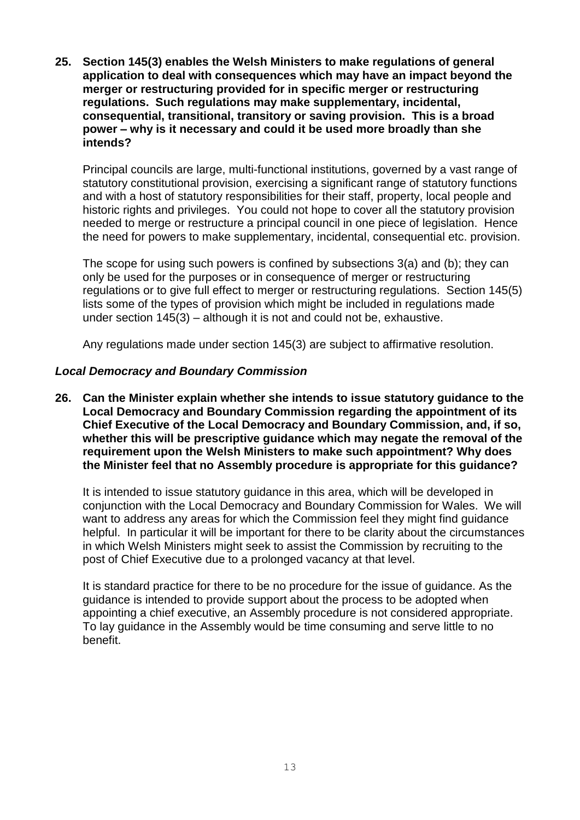**25. Section 145(3) enables the Welsh Ministers to make regulations of general application to deal with consequences which may have an impact beyond the merger or restructuring provided for in specific merger or restructuring regulations. Such regulations may make supplementary, incidental, consequential, transitional, transitory or saving provision. This is a broad power – why is it necessary and could it be used more broadly than she intends?** 

Principal councils are large, multi-functional institutions, governed by a vast range of statutory constitutional provision, exercising a significant range of statutory functions and with a host of statutory responsibilities for their staff, property, local people and historic rights and privileges. You could not hope to cover all the statutory provision needed to merge or restructure a principal council in one piece of legislation. Hence the need for powers to make supplementary, incidental, consequential etc. provision.

The scope for using such powers is confined by subsections 3(a) and (b); they can only be used for the purposes or in consequence of merger or restructuring regulations or to give full effect to merger or restructuring regulations. Section 145(5) lists some of the types of provision which might be included in regulations made under section 145(3) – although it is not and could not be, exhaustive.

Any regulations made under section 145(3) are subject to affirmative resolution.

## *Local Democracy and Boundary Commission*

**26. Can the Minister explain whether she intends to issue statutory guidance to the Local Democracy and Boundary Commission regarding the appointment of its Chief Executive of the Local Democracy and Boundary Commission, and, if so, whether this will be prescriptive guidance which may negate the removal of the requirement upon the Welsh Ministers to make such appointment? Why does the Minister feel that no Assembly procedure is appropriate for this guidance?** 

It is intended to issue statutory guidance in this area, which will be developed in conjunction with the Local Democracy and Boundary Commission for Wales. We will want to address any areas for which the Commission feel they might find guidance helpful. In particular it will be important for there to be clarity about the circumstances in which Welsh Ministers might seek to assist the Commission by recruiting to the post of Chief Executive due to a prolonged vacancy at that level.

It is standard practice for there to be no procedure for the issue of guidance. As the guidance is intended to provide support about the process to be adopted when appointing a chief executive, an Assembly procedure is not considered appropriate. To lay guidance in the Assembly would be time consuming and serve little to no benefit.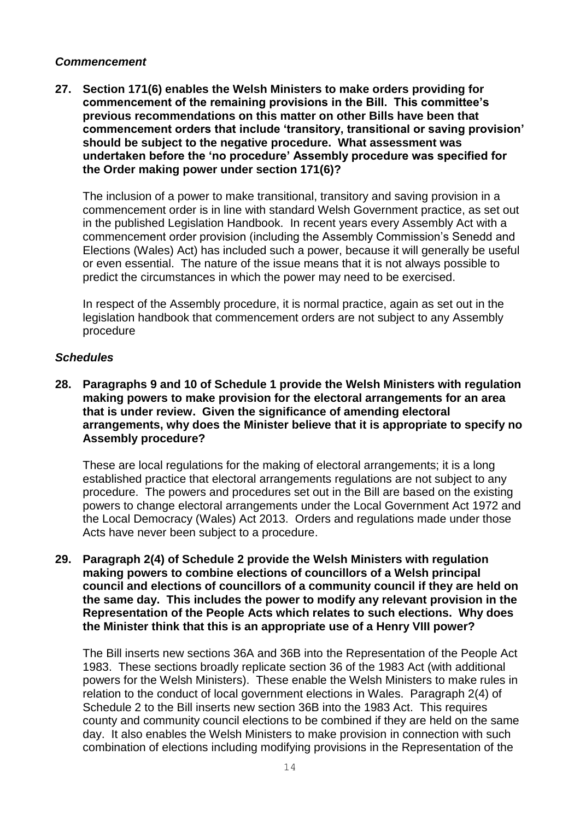#### *Commencement*

**27. Section 171(6) enables the Welsh Ministers to make orders providing for commencement of the remaining provisions in the Bill. This committee's previous recommendations on this matter on other Bills have been that commencement orders that include 'transitory, transitional or saving provision' should be subject to the negative procedure. What assessment was undertaken before the 'no procedure' Assembly procedure was specified for the Order making power under section 171(6)?** 

The inclusion of a power to make transitional, transitory and saving provision in a commencement order is in line with standard Welsh Government practice, as set out in the published Legislation Handbook. In recent years every Assembly Act with a commencement order provision (including the Assembly Commission's Senedd and Elections (Wales) Act) has included such a power, because it will generally be useful or even essential. The nature of the issue means that it is not always possible to predict the circumstances in which the power may need to be exercised.

In respect of the Assembly procedure, it is normal practice, again as set out in the legislation handbook that commencement orders are not subject to any Assembly procedure

## *Schedules*

**28. Paragraphs 9 and 10 of Schedule 1 provide the Welsh Ministers with regulation making powers to make provision for the electoral arrangements for an area that is under review. Given the significance of amending electoral arrangements, why does the Minister believe that it is appropriate to specify no Assembly procedure?** 

These are local regulations for the making of electoral arrangements; it is a long established practice that electoral arrangements regulations are not subject to any procedure. The powers and procedures set out in the Bill are based on the existing powers to change electoral arrangements under the Local Government Act 1972 and the Local Democracy (Wales) Act 2013. Orders and regulations made under those Acts have never been subject to a procedure.

**29. Paragraph 2(4) of Schedule 2 provide the Welsh Ministers with regulation making powers to combine elections of councillors of a Welsh principal council and elections of councillors of a community council if they are held on the same day. This includes the power to modify any relevant provision in the Representation of the People Acts which relates to such elections. Why does the Minister think that this is an appropriate use of a Henry VIII power?**

The Bill inserts new sections 36A and 36B into the Representation of the People Act 1983. These sections broadly replicate section 36 of the 1983 Act (with additional powers for the Welsh Ministers). These enable the Welsh Ministers to make rules in relation to the conduct of local government elections in Wales. Paragraph 2(4) of Schedule 2 to the Bill inserts new section 36B into the 1983 Act. This requires county and community council elections to be combined if they are held on the same day. It also enables the Welsh Ministers to make provision in connection with such combination of elections including modifying provisions in the Representation of the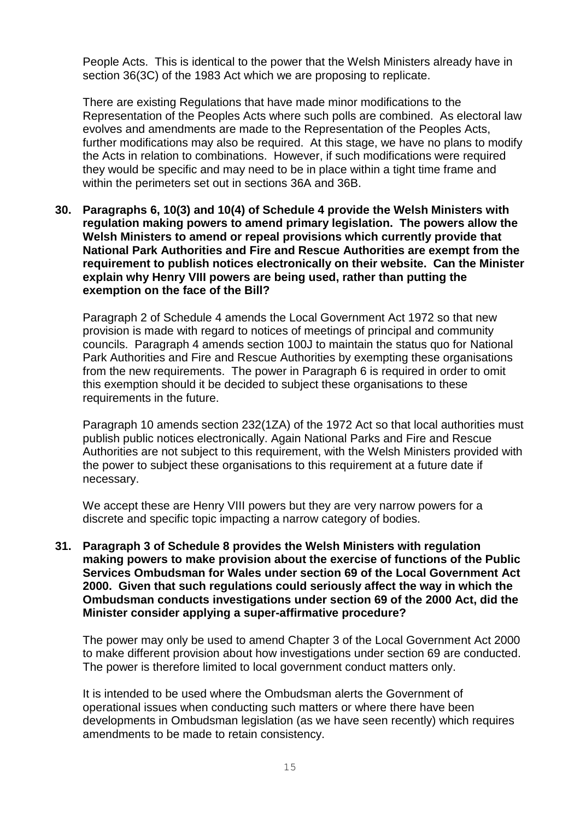People Acts. This is identical to the power that the Welsh Ministers already have in section 36(3C) of the 1983 Act which we are proposing to replicate.

There are existing Regulations that have made minor modifications to the Representation of the Peoples Acts where such polls are combined. As electoral law evolves and amendments are made to the Representation of the Peoples Acts, further modifications may also be required. At this stage, we have no plans to modify the Acts in relation to combinations. However, if such modifications were required they would be specific and may need to be in place within a tight time frame and within the perimeters set out in sections 36A and 36B.

**30. Paragraphs 6, 10(3) and 10(4) of Schedule 4 provide the Welsh Ministers with regulation making powers to amend primary legislation. The powers allow the Welsh Ministers to amend or repeal provisions which currently provide that National Park Authorities and Fire and Rescue Authorities are exempt from the requirement to publish notices electronically on their website. Can the Minister explain why Henry VIII powers are being used, rather than putting the exemption on the face of the Bill?** 

Paragraph 2 of Schedule 4 amends the Local Government Act 1972 so that new provision is made with regard to notices of meetings of principal and community councils. Paragraph 4 amends section 100J to maintain the status quo for National Park Authorities and Fire and Rescue Authorities by exempting these organisations from the new requirements. The power in Paragraph 6 is required in order to omit this exemption should it be decided to subject these organisations to these requirements in the future.

Paragraph 10 amends section 232(1ZA) of the 1972 Act so that local authorities must publish public notices electronically. Again National Parks and Fire and Rescue Authorities are not subject to this requirement, with the Welsh Ministers provided with the power to subject these organisations to this requirement at a future date if necessary.

We accept these are Henry VIII powers but they are very narrow powers for a discrete and specific topic impacting a narrow category of bodies.

**31. Paragraph 3 of Schedule 8 provides the Welsh Ministers with regulation making powers to make provision about the exercise of functions of the Public Services Ombudsman for Wales under section 69 of the Local Government Act 2000. Given that such regulations could seriously affect the way in which the Ombudsman conducts investigations under section 69 of the 2000 Act, did the Minister consider applying a super-affirmative procedure?** 

The power may only be used to amend Chapter 3 of the Local Government Act 2000 to make different provision about how investigations under section 69 are conducted. The power is therefore limited to local government conduct matters only.

It is intended to be used where the Ombudsman alerts the Government of operational issues when conducting such matters or where there have been developments in Ombudsman legislation (as we have seen recently) which requires amendments to be made to retain consistency.